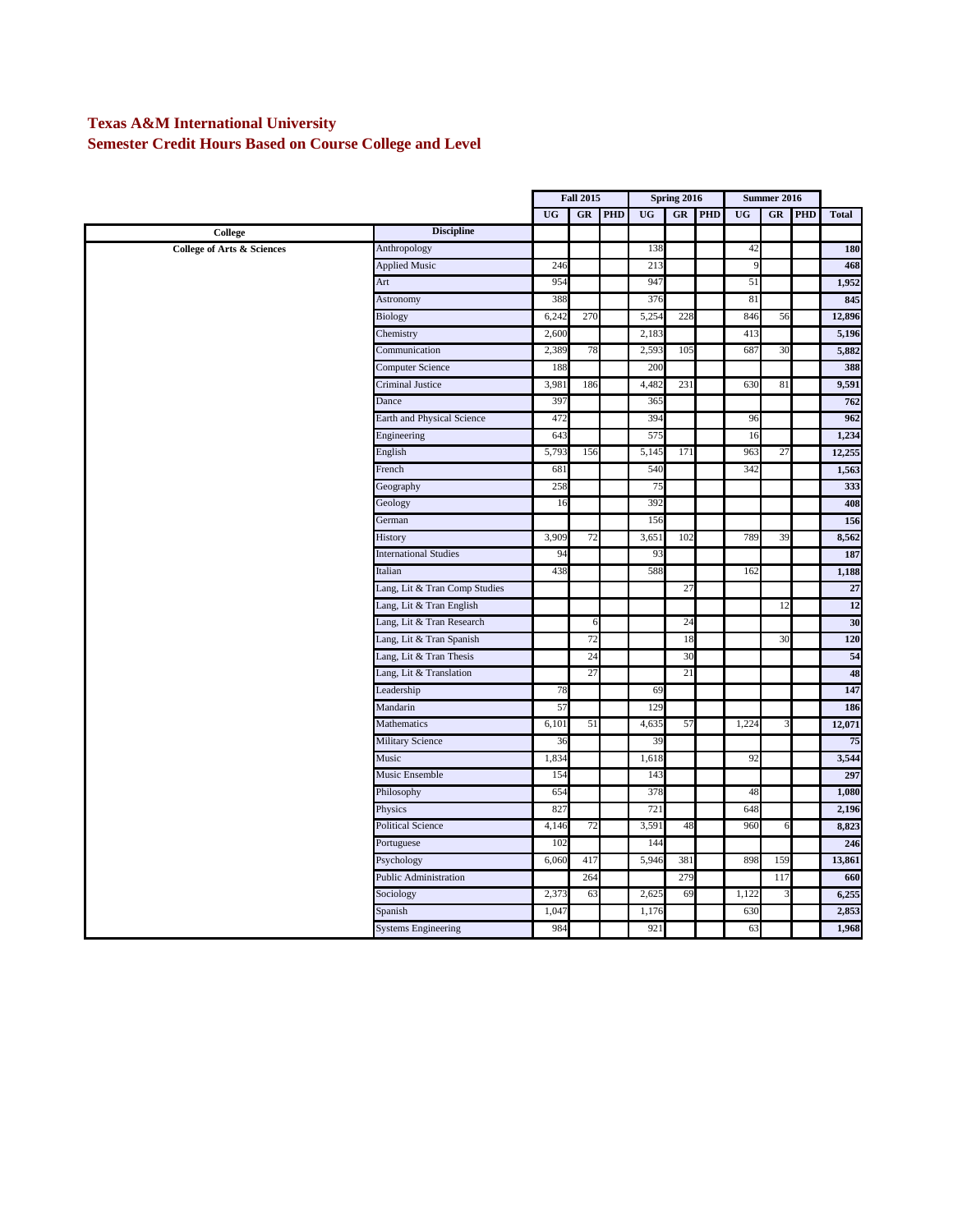## **Texas A&M International University**

**Semester Credit Hours Based on Course College and Level**

|                                       |                               |           | <b>Fall 2015</b> |            | Spring 2016 |     |            | Summer 2016 |     |            |              |
|---------------------------------------|-------------------------------|-----------|------------------|------------|-------------|-----|------------|-------------|-----|------------|--------------|
|                                       |                               | <b>UG</b> | $G$ <b>R</b>     | <b>PHD</b> | <b>UG</b>   | GR  | <b>PHD</b> | UG          | GR  | <b>PHD</b> | <b>Total</b> |
| College                               | <b>Discipline</b>             |           |                  |            |             |     |            |             |     |            |              |
| <b>College of Arts &amp; Sciences</b> | Anthropology                  |           |                  |            | 138         |     |            | 42          |     |            | 180          |
|                                       | <b>Applied Music</b>          | 246       |                  |            | 213         |     |            | 9           |     |            | 468          |
|                                       | Art                           | 954       |                  |            | 947         |     |            | 51          |     |            | 1,952        |
|                                       | Astronomy                     | 388       |                  |            | 376         |     |            | 81          |     |            | 845          |
|                                       | Biology                       | 6,242     | 270              |            | 5,254       | 228 |            | 846         | 56  |            | 12,896       |
|                                       | Chemistry                     | 2,600     |                  |            | 2,183       |     |            | 413         |     |            | 5,196        |
|                                       | Communication                 | 2,389     | 78               |            | 2,593       | 105 |            | 687         | 30  |            | 5,882        |
|                                       | Computer Science              | 188       |                  |            | 200         |     |            |             |     |            | 388          |
|                                       | <b>Criminal Justice</b>       | 3,981     | 186              |            | 4,482       | 231 |            | 630         | 81  |            | 9,591        |
|                                       | Dance                         | 397       |                  |            | 365         |     |            |             |     |            | 762          |
|                                       | Earth and Physical Science    | 472       |                  |            | 394         |     |            | 96          |     |            | 962          |
|                                       | Engineering                   | 643       |                  |            | 575         |     |            | 16          |     |            | 1,234        |
|                                       | English                       | 5,793     | 156              |            | 5,145       | 171 |            | 963         | 27  |            | 12,255       |
|                                       | French                        | 681       |                  |            | 540         |     |            | 342         |     |            | 1,563        |
|                                       | Geography                     | 258       |                  |            | 75          |     |            |             |     |            | 333          |
|                                       | Geology                       | 16        |                  |            | 392         |     |            |             |     |            | 408          |
|                                       | German                        |           |                  |            | 156         |     |            |             |     |            | 156          |
|                                       | History                       | 3,909     | 72               |            | 3,65        | 102 |            | 789         | 39  |            | 8,562        |
|                                       | <b>International Studies</b>  | 94        |                  |            | 93          |     |            |             |     |            | 187          |
|                                       | Italian                       | 438       |                  |            | 588         |     |            | 162         |     |            | 1,188        |
|                                       | Lang, Lit & Tran Comp Studies |           |                  |            |             | 27  |            |             |     |            | 27           |
|                                       | Lang, Lit & Tran English      |           |                  |            |             |     |            |             | 12  |            | 12           |
|                                       | Lang, Lit & Tran Research     |           | 6                |            |             | 24  |            |             |     |            | 30           |
|                                       | Lang, Lit & Tran Spanish      |           | 72               |            |             | 18  |            |             | 30  |            | 120          |
|                                       | Lang, Lit & Tran Thesis       |           | 24               |            |             | 30  |            |             |     |            | 54           |
|                                       | Lang, Lit & Translation       |           | 27               |            |             | 21  |            |             |     |            | 48           |
|                                       | Leadership                    | 78        |                  |            | 69          |     |            |             |     |            | 147          |
|                                       | Mandarin                      | 57        |                  |            | 129         |     |            |             |     |            | 186          |
|                                       | Mathematics                   | 6,101     | 51               |            | 4,635       | 57  |            | 1,224       |     |            | 12,071       |
|                                       | <b>Military Science</b>       | 36        |                  |            | 39          |     |            |             |     |            | 75           |
|                                       | Music                         | 1,834     |                  |            | 1,618       |     |            | 92          |     |            | 3,544        |
|                                       | Music Ensemble                | 154       |                  |            | 143         |     |            |             |     |            | 297          |
|                                       | Philosophy                    | 654       |                  |            | 378         |     |            | 48          |     |            | 1,080        |
|                                       | Physics                       | 82        |                  |            | 721         |     |            | 648         |     |            | 2,196        |
|                                       | <b>Political Science</b>      | 4,146     | 72               |            | 3,591       | 48  |            | 960         | 6   |            | 8,823        |
|                                       | Portuguese                    | 102       |                  |            | 144         |     |            |             |     |            | 246          |
|                                       | Psychology                    | 6,060     | 417              |            | 5,946       | 381 |            | 898         | 159 |            | 13,861       |
|                                       | <b>Public Administration</b>  |           | 264              |            |             | 279 |            |             | 117 |            | 660          |
|                                       | Sociology                     | 2,373     | 63               |            | 2,625       | 69  |            | 1,122       |     |            | 6,255        |
|                                       | Spanish                       | 1,04      |                  |            | 1,176       |     |            | 630         |     |            | 2,853        |
|                                       | <b>Systems Engineering</b>    | 984       |                  |            | 921         |     |            | 63          |     |            | 1,968        |